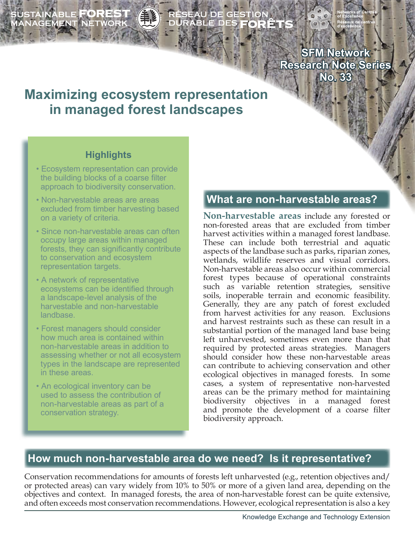SUSTAINABLE **FOREST**<br>MANAGEMENT NETWORK

# ÉSEAU DE GESTION<br>URABLE DES **FORÊT**S

**SFM Network Research Note Series No. 33**

# **Maximizing ecosystem representation in managed forest landscapes**

# **Highlights**

- Ecosystem representation can provide the building blocks of a coarse filter approach to biodiversity conservation.
- Non-harvestable areas are areas excluded from timber harvesting based on a variety of criteria.
- Since non-harvestable areas can often occupy large areas within managed forests, they can significantly contribute to conservation and ecosystem representation targets.
- A network of representative ecosystems can be identified through a landscape-level analysis of the harvestable and non-harvestable landbase.
- Forest managers should consider how much area is contained within non-harvestable areas in addition to assessing whether or not all ecosystem types in the landscape are represented in these areas.
- An ecological inventory can be used to assess the contribution of non-harvestable areas as part of a conservation strategy.

# **What are non-harvestable areas?**

**Non-harvestable areas** include any forested or non-forested areas that are excluded from timber harvest activities within a managed forest landbase. These can include both terrestrial and aquatic aspects of the landbase such as parks, riparian zones, wetlands, wildlife reserves and visual corridors. Non-harvestable areas also occur within commercial forest types because of operational constraints such as variable retention strategies, sensitive soils, inoperable terrain and economic feasibility. Generally, they are any patch of forest excluded from harvest activities for any reason. Exclusions and harvest restraints such as these can result in a substantial portion of the managed land base being left unharvested, sometimes even more than that required by protected areas strategies. Managers should consider how these non-harvestable areas can contribute to achieving conservation and other ecological objectives in managed forests. In some cases, a system of representative non-harvested areas can be the primary method for maintaining biodiversity objectives in a managed forest and promote the development of a coarse filter biodiversity approach.

# **How much non-harvestable area do we need? Is it representative?**

Conservation recommendations for amounts of forests left unharvested (e.g., retention objectives and/ or protected areas) can vary widely from 10% to 50% or more of a given land area, depending on the objectives and context. In managed forests, the area of non-harvestable forest can be quite extensive, and often exceeds most conservation recommendations. However, ecological representation is also a key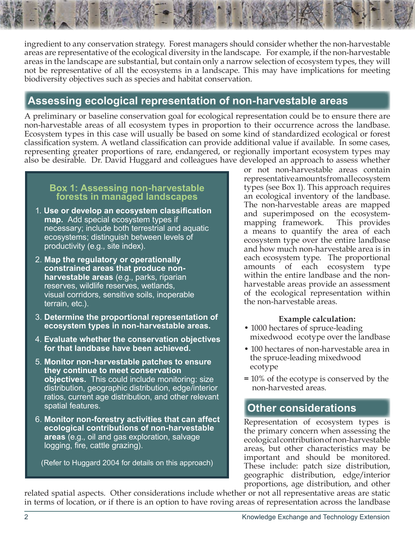ingredient to any conservation strategy. Forest managers should consider whether the non-harvestable areas are representative of the ecological diversity in the landscape. For example, if the non-harvestable areas in the landscape are substantial, but contain only a narrow selection of ecosystem types, they will not be representative of all the ecosystems in a landscape. This may have implications for meeting biodiversity objectives such as species and habitat conservation.

# **Assessing ecological representation of non-harvestable areas**

A preliminary or baseline conservation goal for ecological representation could be to ensure there are non-harvestable areas of all ecosystem types in proportion to their occurrence across the landbase. Ecosystem types in this case will usually be based on some kind of standardized ecological or forest classification system. A wetland classification can provide additional value if available. In some cases, representing greater proportions of rare, endangered, or regionally important ecosystem types may also be desirable. Dr. David Huggard and colleagues have developed an approach to assess whether

#### **Box 1: Assessing non-harvestable forests in managed landscapes**

- 1. **Use or develop an ecosystem classification map.** Add special ecosystem types if necessary; include both terrestrial and aquatic ecosystems; distinguish between levels of productivity (e.g., site index).
- 2. **Map the regulatory or operationally constrained areas that produce non harvestable areas** (e.g., parks, riparian reserves, wildlife reserves, wetlands, visual corridors, sensitive soils, inoperable terrain, etc.).
- 3. **Determine the proportional representation of ecosystem types in non-harvestable areas.**
- 4. **Evaluate whether the conservation objectives for that landbase have been achieved.**
- 5. **Monitor non-harvestable patches to ensure they continue to meet conservation objectives.** This could include monitoring: size distribution, geographic distribution, edge/interior ratios, current age distribution, and other relevant spatial features.
- 6. **Monitor non-forestry activities that can affect ecological contributions of non-harvestable areas** (e.g., oil and gas exploration, salvage logging, fire, cattle grazing).

(Refer to Huggard 2004 for details on this approach)

or not non-harvestable areas contain representative amounts from all ecosystem types (see Box 1). This approach requires an ecological inventory of the landbase. The non-harvestable areas are mapped and superimposed on the ecosystemmapping framework. This provides a means to quantify the area of each ecosystem type over the entire landbase and how much non-harvestable area is in each ecosystem type. The proportional amounts of each ecosystem type within the entire landbase and the nonharvestable areas provide an assessment of the ecological representation within the non-harvestable areas.

#### **Example calculation:**

- 1000 hectares of spruce-leading mixedwood ecotype over the landbase
- 100 hectares of non-harvestable area in the spruce-leading mixedwood ecotype
- **=** 10% of the ecotype is conserved by the non-harvested areas.

# **Other considerations**

Representation of ecosystem types is the primary concern when assessing the ecological contribution of non-harvestable areas, but other characteristics may be important and should be monitored. These include: patch size distribution, geographic distribution, edge/interior proportions, age distribution, and other

related spatial aspects. Other considerations include whether or not all representative areas are static in terms of location, or if there is an option to have roving areas of representation across the landbase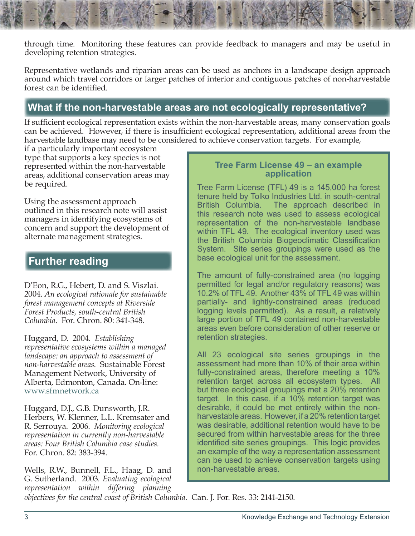through time. Monitoring these features can provide feedback to managers and may be useful in developing retention strategies.

Representative wetlands and riparian areas can be used as anchors in a landscape design approach around which travel corridors or larger patches of interior and contiguous patches of non-harvestable forest can be identified.

## **What if the non-harvestable areas are not ecologically representative?**

If sufficient ecological representation exists within the non-harvestable areas, many conservation goals can be achieved. However, if there is insufficient ecological representation, additional areas from the harvestable landbase may need to be considered to achieve conservation targets. For example,

if a particularly important ecosystem type that supports a key species is not represented within the non-harvestable areas, additional conservation areas may be required.

Using the assessment approach outlined in this research note will assist managers in identifying ecosystems of concern and support the development of alternate management strategies.

### **Further reading**

D'Eon, R.G., Hebert, D. and S. Viszlai. 2004. *An ecological rationale for sustainable forest management concepts at Riverside Forest Products, south-central British Columbia.* For. Chron. 80: 341-348.

Huggard, D. 2004. *Establishing representative ecosystems within a managed landscape: an approach to assessment of non-harvestable areas.* Sustainable Forest Management Network, University of Alberta, Edmonton, Canada. On-line: [www.sfmnetwork.ca](www.sfmnetwork.ca )

Huggard, D.J., G.B. Dunsworth, J.R. Herbers, W. Klenner, L.L. Kremsater and R. Serrouya. 2006. *Monitoring ecological representation in currently non-harvestable areas: Four British Columbia case studies.* For. Chron. 82: 383-394.

Wells, R.W., Bunnell, F.L., Haag, D. and G. Sutherland. 2003. *Evaluating ecological representation within differing planning* 

#### **Tree Farm License 49 – an example application**

Tree Farm License (TFL) 49 is a 145,000 ha forest tenure held by Tolko Industries Ltd. in south-central British Columbia. The approach described in this research note was used to assess ecological representation of the non-harvestable landbase within TFL 49. The ecological inventory used was the British Columbia Biogeoclimatic Classification System. Site series groupings were used as the base ecological unit for the assessment.

The amount of fully-constrained area (no logging permitted for legal and/or regulatory reasons) was 10.2% of TFL 49. Another 43% of TFL 49 was within partially- and lightly-constrained areas (reduced logging levels permitted). As a result, a relatively large portion of TFL 49 contained non-harvestable areas even before consideration of other reserve or retention strategies.

All 23 ecological site series groupings in the assessment had more than 10% of their area within fully-constrained areas, therefore meeting a 10% retention target across all ecosystem types. All but three ecological groupings met a 20% retention target. In this case, if a 10% retention target was desirable, it could be met entirely within the nonharvestable areas. However, if a 20% retention target was desirable, additional retention would have to be secured from within harvestable areas for the three identified site series groupings. This logic provides an example of the way a representation assessment can be used to achieve conservation targets using non-harvestable areas.

*objectives for the central coast of British Columbia.* Can. J. For. Res. 33: 2141-2150.